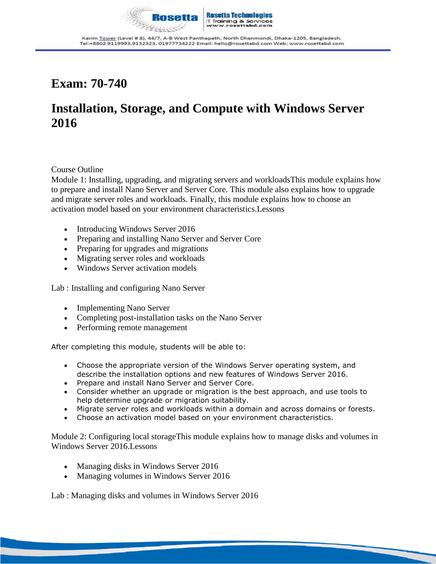

### **Exam: 70-740**

# **Installation, Storage, and Compute with Windows Server 2016**

#### Course Outline

Module 1: Installing, upgrading, and migrating servers and workloadsThis module explains how to prepare and install Nano Server and Server Core. This module also explains how to upgrade and migrate server roles and workloads. Finally, this module explains how to choose an activation model based on your environment characteristics.Lessons

- Introducing Windows Server 2016
- Preparing and installing Nano Server and Server Core
- Preparing for upgrades and migrations
- Migrating server roles and workloads
- Windows Server activation models

Lab : Installing and configuring Nano Server

- Implementing Nano Server
- Completing post-installation tasks on the Nano Server
- Performing remote management

After completing this module, students will be able to:

- Choose the appropriate version of the Windows Server operating system, and describe the installation options and new features of Windows Server 2016.
- Prepare and install Nano Server and Server Core.
- Consider whether an upgrade or migration is the best approach, and use tools to help determine upgrade or migration suitability.
- Migrate server roles and workloads within a domain and across domains or forests.
- Choose an activation model based on your environment characteristics.

Module 2: Configuring local storageThis module explains how to manage disks and volumes in Windows Server 2016.Lessons

- Managing disks in Windows Server 2016
- Managing volumes in Windows Server 2016

Lab : Managing disks and volumes in Windows Server 2016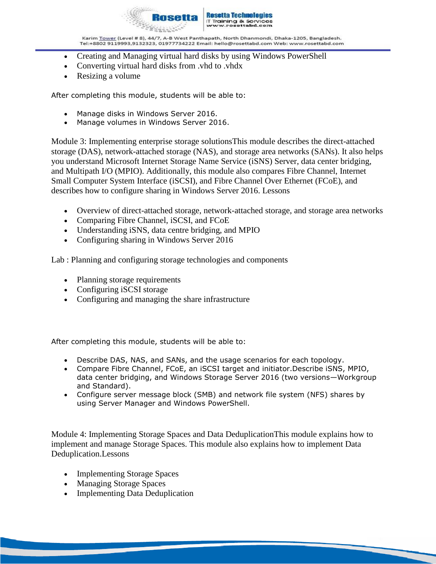

- Creating and Managing virtual hard disks by using Windows PowerShell
- Converting virtual hard disks from .vhd to .vhdx
- Resizing a volume

After completing this module, students will be able to:

- Manage disks in Windows Server 2016.
- Manage volumes in Windows Server 2016.

Module 3: Implementing enterprise storage solutionsThis module describes the direct-attached storage (DAS), network-attached storage (NAS), and storage area networks (SANs). It also helps you understand Microsoft Internet Storage Name Service (iSNS) Server, data center bridging, and Multipath I/O (MPIO). Additionally, this module also compares Fibre Channel, Internet Small Computer System Interface (iSCSI), and Fibre Channel Over Ethernet (FCoE), and describes how to configure sharing in Windows Server 2016. Lessons

- Overview of direct-attached storage, network-attached storage, and storage area networks
- Comparing Fibre Channel, iSCSI, and FCoE
- Understanding iSNS, data centre bridging, and MPIO
- Configuring sharing in Windows Server 2016

Lab : Planning and configuring storage technologies and components

- Planning storage requirements
- Configuring iSCSI storage
- Configuring and managing the share infrastructure

After completing this module, students will be able to:

- Describe DAS, NAS, and SANs, and the usage scenarios for each topology.
- Compare Fibre Channel, FCoE, an iSCSI target and initiator.Describe iSNS, MPIO, data center bridging, and Windows Storage Server 2016 (two versions—Workgroup and Standard).
- Configure server message block (SMB) and network file system (NFS) shares by using Server Manager and Windows PowerShell.

Module 4: Implementing Storage Spaces and Data DeduplicationThis module explains how to implement and manage Storage Spaces. This module also explains how to implement Data Deduplication.Lessons

- Implementing Storage Spaces
- Managing Storage Spaces
- Implementing Data Deduplication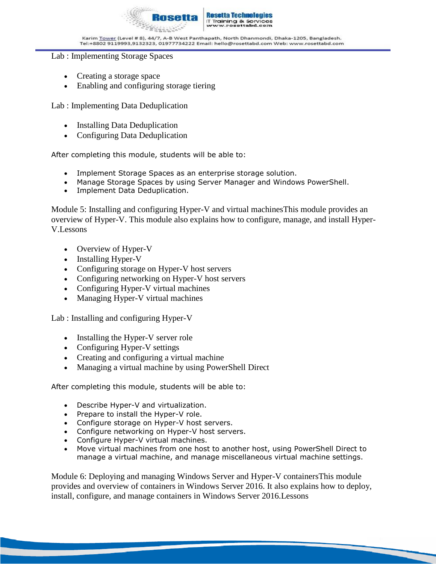

#### Lab : Implementing Storage Spaces

- Creating a storage space
- Enabling and configuring storage tiering

Lab : Implementing Data Deduplication

- Installing Data Deduplication
- Configuring Data Deduplication

After completing this module, students will be able to:

- Implement Storage Spaces as an enterprise storage solution.
- Manage Storage Spaces by using Server Manager and Windows PowerShell.
- Implement Data Deduplication.

Module 5: Installing and configuring Hyper-V and virtual machinesThis module provides an overview of Hyper-V. This module also explains how to configure, manage, and install Hyper-V.Lessons

- Overview of Hyper-V
- Installing Hyper-V
- Configuring storage on Hyper-V host servers
- Configuring networking on Hyper-V host servers
- Configuring Hyper-V virtual machines
- Managing Hyper-V virtual machines

Lab : Installing and configuring Hyper-V

- Installing the Hyper-V server role
- Configuring Hyper-V settings
- Creating and configuring a virtual machine
- Managing a virtual machine by using PowerShell Direct

After completing this module, students will be able to:

- Describe Hyper-V and virtualization.
- Prepare to install the Hyper-V role.
- Configure storage on Hyper-V host servers.
- Configure networking on Hyper-V host servers.
- Configure Hyper-V virtual machines.
- Move virtual machines from one host to another host, using PowerShell Direct to manage a virtual machine, and manage miscellaneous virtual machine settings.

Module 6: Deploying and managing Windows Server and Hyper-V containersThis module provides and overview of containers in Windows Server 2016. It also explains how to deploy, install, configure, and manage containers in Windows Server 2016.Lessons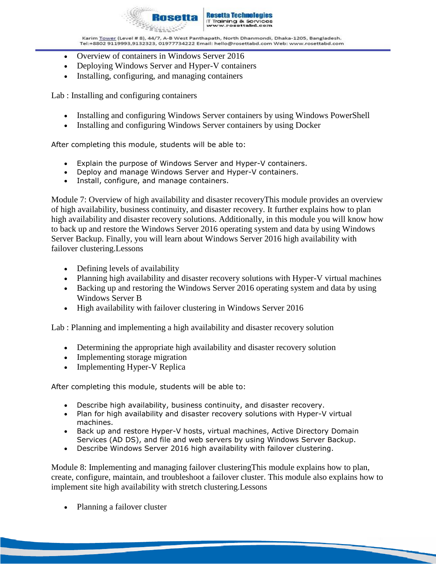

- Overview of containers in Windows Server 2016
- Deploying Windows Server and Hyper-V containers
- Installing, configuring, and managing containers

Lab : Installing and configuring containers

- Installing and configuring Windows Server containers by using Windows PowerShell
- Installing and configuring Windows Server containers by using Docker

After completing this module, students will be able to:

- Explain the purpose of Windows Server and Hyper-V containers.
- Deploy and manage Windows Server and Hyper-V containers.
- Install, configure, and manage containers.

Module 7: Overview of high availability and disaster recoveryThis module provides an overview of high availability, business continuity, and disaster recovery. It further explains how to plan high availability and disaster recovery solutions. Additionally, in this module you will know how to back up and restore the Windows Server 2016 operating system and data by using Windows Server Backup. Finally, you will learn about Windows Server 2016 high availability with failover clustering.Lessons

- Defining levels of availability
- Planning high availability and disaster recovery solutions with Hyper-V virtual machines
- Backing up and restoring the Windows Server 2016 operating system and data by using Windows Server B
- High availability with failover clustering in Windows Server 2016

Lab : Planning and implementing a high availability and disaster recovery solution

- Determining the appropriate high availability and disaster recovery solution
- Implementing storage migration
- Implementing Hyper-V Replica

After completing this module, students will be able to:

- Describe high availability, business continuity, and disaster recovery.
- Plan for high availability and disaster recovery solutions with Hyper-V virtual machines.
- Back up and restore Hyper-V hosts, virtual machines, Active Directory Domain Services (AD DS), and file and web servers by using Windows Server Backup.
- Describe Windows Server 2016 high availability with failover clustering.

Module 8: Implementing and managing failover clusteringThis module explains how to plan, create, configure, maintain, and troubleshoot a failover cluster. This module also explains how to implement site high availability with stretch clustering.Lessons

Planning a failover cluster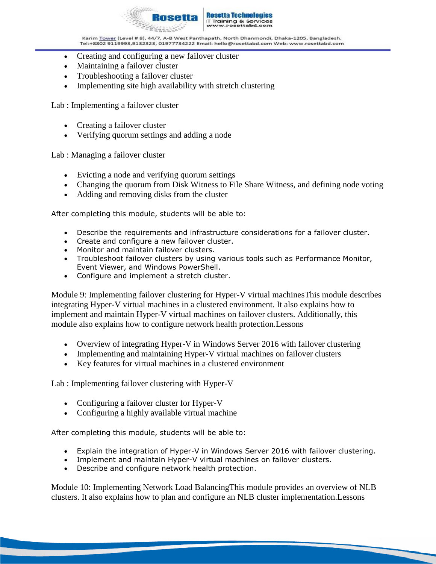

- Creating and configuring a new failover cluster
- Maintaining a failover cluster
- Troubleshooting a failover cluster
- Implementing site high availability with stretch clustering

Lab : Implementing a failover cluster

- Creating a failover cluster
- Verifying quorum settings and adding a node

Lab : Managing a failover cluster

- Evicting a node and verifying quorum settings
- Changing the quorum from Disk Witness to File Share Witness, and defining node voting
- Adding and removing disks from the cluster

After completing this module, students will be able to:

- Describe the requirements and infrastructure considerations for a failover cluster.
- Create and configure a new failover cluster.
- Monitor and maintain failover clusters.
- Troubleshoot failover clusters by using various tools such as Performance Monitor, Event Viewer, and Windows PowerShell.
- Configure and implement a stretch cluster.

Module 9: Implementing failover clustering for Hyper-V virtual machinesThis module describes integrating Hyper-V virtual machines in a clustered environment. It also explains how to implement and maintain Hyper-V virtual machines on failover clusters. Additionally, this module also explains how to configure network health protection.Lessons

- Overview of integrating Hyper-V in Windows Server 2016 with failover clustering
- Implementing and maintaining Hyper-V virtual machines on failover clusters
- Key features for virtual machines in a clustered environment

Lab : Implementing failover clustering with Hyper-V

- Configuring a failover cluster for Hyper-V
- Configuring a highly available virtual machine

After completing this module, students will be able to:

- Explain the integration of Hyper-V in Windows Server 2016 with failover clustering.
- Implement and maintain Hyper-V virtual machines on failover clusters.
- Describe and configure network health protection.

Module 10: Implementing Network Load BalancingThis module provides an overview of NLB clusters. It also explains how to plan and configure an NLB cluster implementation.Lessons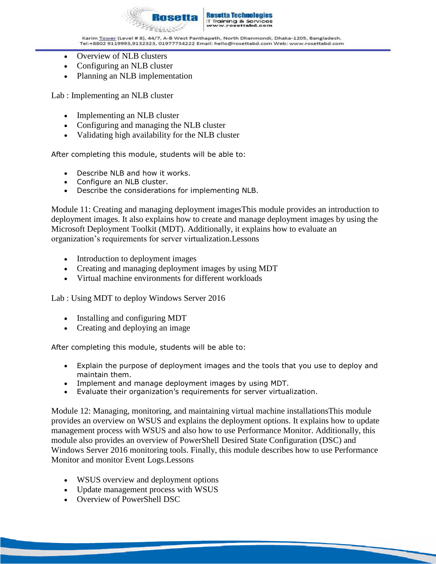

**T Training & Services**<br>www.resettabd.com

Karim <u>Tower</u> (Level # 8), 44/7, A-B West Panthapath, North Dhanmondi, Dhaka-1205, Bangladesh.<br>Tel:+8802 9119993,9132323, 01977734222 Email: hello@rosettabd.com Web: www.rosettabd.com

- Overview of NLB clusters
- Configuring an NLB cluster
- Planning an NLB implementation

Lab : Implementing an NLB cluster

- Implementing an NLB cluster
- Configuring and managing the NLB cluster
- Validating high availability for the NLB cluster

After completing this module, students will be able to:

- Describe NLB and how it works.
- Configure an NLB cluster.
- Describe the considerations for implementing NLB.

Module 11: Creating and managing deployment imagesThis module provides an introduction to deployment images. It also explains how to create and manage deployment images by using the Microsoft Deployment Toolkit (MDT). Additionally, it explains how to evaluate an organization's requirements for server virtualization.Lessons

- Introduction to deployment images
- Creating and managing deployment images by using MDT
- Virtual machine environments for different workloads

Lab : Using MDT to deploy Windows Server 2016

- Installing and configuring MDT
- Creating and deploying an image

After completing this module, students will be able to:

- Explain the purpose of deployment images and the tools that you use to deploy and maintain them.
- Implement and manage deployment images by using MDT.
- Evaluate their organization's requirements for server virtualization.

Module 12: Managing, monitoring, and maintaining virtual machine installationsThis module provides an overview on WSUS and explains the deployment options. It explains how to update management process with WSUS and also how to use Performance Monitor. Additionally, this module also provides an overview of PowerShell Desired State Configuration (DSC) and Windows Server 2016 monitoring tools. Finally, this module describes how to use Performance Monitor and monitor Event Logs.Lessons

- WSUS overview and deployment options
- Update management process with WSUS
- Overview of PowerShell DSC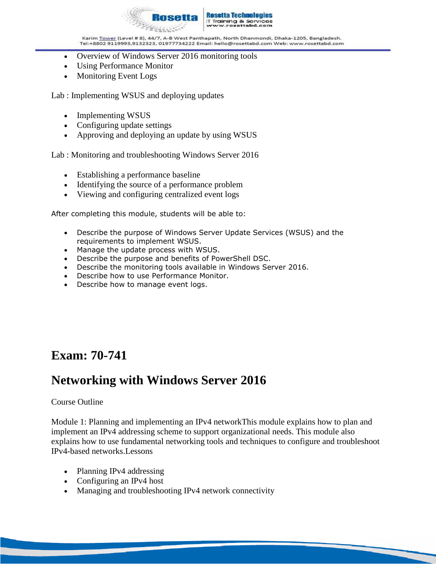

- Overview of Windows Server 2016 monitoring tools
- Using Performance Monitor
- Monitoring Event Logs

Lab : Implementing WSUS and deploying updates

- Implementing WSUS
- Configuring update settings
- Approving and deploying an update by using WSUS

Lab : Monitoring and troubleshooting Windows Server 2016

- Establishing a performance baseline
- Identifying the source of a performance problem
- Viewing and configuring centralized event logs

After completing this module, students will be able to:

- Describe the purpose of Windows Server Update Services (WSUS) and the requirements to implement WSUS.
- Manage the update process with WSUS.
- Describe the purpose and benefits of PowerShell DSC.
- Describe the monitoring tools available in Windows Server 2016.
- Describe how to use Performance Monitor.
- Describe how to manage event logs.

### **Exam: 70-741**

### **Networking with Windows Server 2016**

#### Course Outline

Module 1: Planning and implementing an IPv4 networkThis module explains how to plan and implement an IPv4 addressing scheme to support organizational needs. This module also explains how to use fundamental networking tools and techniques to configure and troubleshoot IPv4-based networks.Lessons

- Planning IPv4 addressing
- Configuring an IPv4 host
- Managing and troubleshooting IPv4 network connectivity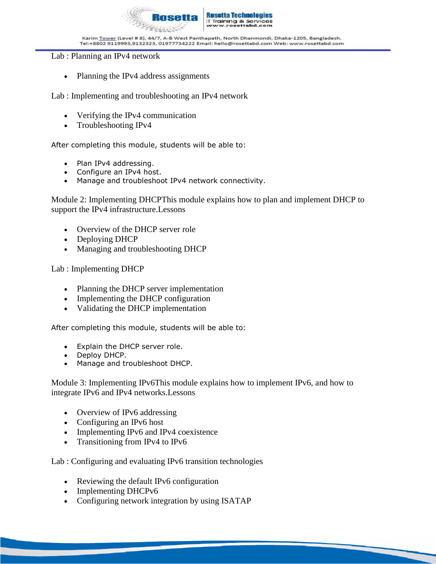

#### Lab : Planning an IPv4 network

Planning the IPv4 address assignments

Lab : Implementing and troubleshooting an IPv4 network

- Verifying the IPv4 communication
- Troubleshooting IPv4

After completing this module, students will be able to:

- Plan IPv4 addressing.
- Configure an IPv4 host.
- Manage and troubleshoot IPv4 network connectivity.

Module 2: Implementing DHCPThis module explains how to plan and implement DHCP to support the IPv4 infrastructure.Lessons

- Overview of the DHCP server role
- Deploying DHCP
- Managing and troubleshooting DHCP

Lab : Implementing DHCP

- Planning the DHCP server implementation
- Implementing the DHCP configuration
- Validating the DHCP implementation

After completing this module, students will be able to:

- Explain the DHCP server role.
- Deploy DHCP.
- Manage and troubleshoot DHCP.

Module 3: Implementing IPv6This module explains how to implement IPv6, and how to integrate IPv6 and IPv4 networks.Lessons

- Overview of IPv6 addressing
- Configuring an IPv6 host
- Implementing IPv6 and IPv4 coexistence
- Transitioning from IPv4 to IPv6

Lab : Configuring and evaluating IPv6 transition technologies

- Reviewing the default IPv6 configuration
- Implementing DHCPv6
- Configuring network integration by using ISATAP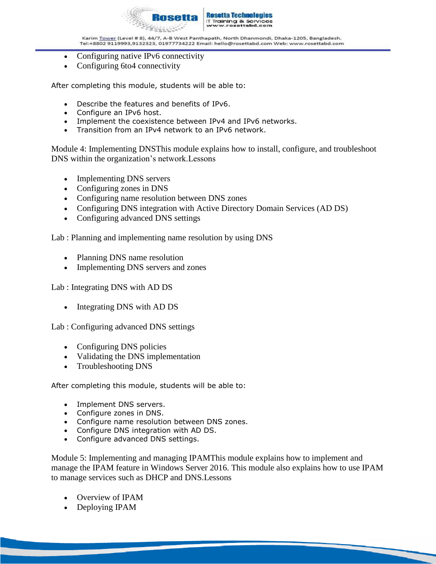

- Configuring native IPv6 connectivity
- Configuring 6to4 connectivity

After completing this module, students will be able to:

- Describe the features and benefits of IPv6.
- Configure an IPv6 host.
- Implement the coexistence between IPv4 and IPv6 networks.
- Transition from an IPv4 network to an IPv6 network.

Module 4: Implementing DNSThis module explains how to install, configure, and troubleshoot DNS within the organization's network.Lessons

- Implementing DNS servers
- Configuring zones in DNS
- Configuring name resolution between DNS zones
- Configuring DNS integration with Active Directory Domain Services (AD DS)
- Configuring advanced DNS settings

Lab : Planning and implementing name resolution by using DNS

- Planning DNS name resolution
- Implementing DNS servers and zones

Lab : Integrating DNS with AD DS

• Integrating DNS with AD DS

Lab : Configuring advanced DNS settings

- Configuring DNS policies
- Validating the DNS implementation
- Troubleshooting DNS

After completing this module, students will be able to:

- Implement DNS servers.
- Configure zones in DNS.
- Configure name resolution between DNS zones.
- Configure DNS integration with AD DS.
- Configure advanced DNS settings.

Module 5: Implementing and managing IPAMThis module explains how to implement and manage the IPAM feature in Windows Server 2016. This module also explains how to use IPAM to manage services such as DHCP and DNS.Lessons

- Overview of IPAM
- Deploying IPAM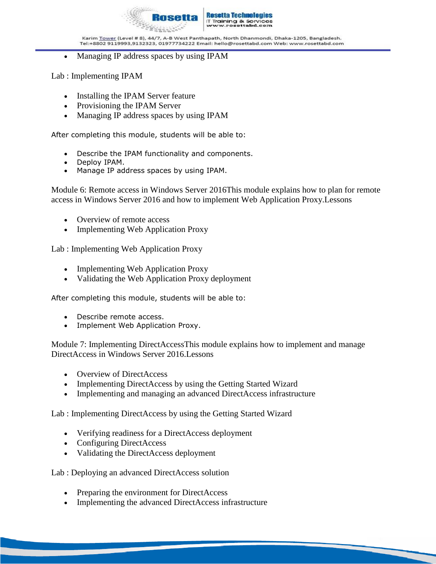

• Managing IP address spaces by using IPAM

Lab : Implementing IPAM

- Installing the IPAM Server feature
- Provisioning the IPAM Server
- Managing IP address spaces by using IPAM

After completing this module, students will be able to:

- Describe the IPAM functionality and components.
- Deploy IPAM.
- Manage IP address spaces by using IPAM.

Module 6: Remote access in Windows Server 2016This module explains how to plan for remote access in Windows Server 2016 and how to implement Web Application Proxy.Lessons

- Overview of remote access
- Implementing Web Application Proxy

Lab : Implementing Web Application Proxy

- Implementing Web Application Proxy
- Validating the Web Application Proxy deployment

After completing this module, students will be able to:

- Describe remote access.
- Implement Web Application Proxy.

Module 7: Implementing DirectAccessThis module explains how to implement and manage DirectAccess in Windows Server 2016.Lessons

- Overview of DirectAccess
- Implementing DirectAccess by using the Getting Started Wizard
- Implementing and managing an advanced DirectAccess infrastructure

Lab : Implementing DirectAccess by using the Getting Started Wizard

- Verifying readiness for a DirectAccess deployment
- Configuring DirectAccess
- Validating the DirectAccess deployment

Lab : Deploying an advanced DirectAccess solution

- Preparing the environment for DirectAccess
- Implementing the advanced DirectAccess infrastructure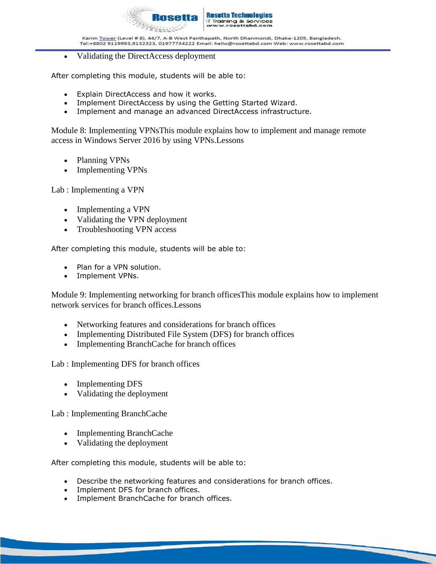

• Validating the DirectAccess deployment

After completing this module, students will be able to:

- Explain DirectAccess and how it works.
- Implement DirectAccess by using the Getting Started Wizard.
- Implement and manage an advanced DirectAccess infrastructure.

Module 8: Implementing VPNsThis module explains how to implement and manage remote access in Windows Server 2016 by using VPNs.Lessons

- Planning VPNs
- Implementing VPNs

Lab : Implementing a VPN

- Implementing a VPN
- Validating the VPN deployment
- Troubleshooting VPN access

After completing this module, students will be able to:

- Plan for a VPN solution.
- Implement VPNs.

Module 9: Implementing networking for branch officesThis module explains how to implement network services for branch offices.Lessons

- Networking features and considerations for branch offices
- Implementing Distributed File System (DFS) for branch offices
- Implementing BranchCache for branch offices

Lab : Implementing DFS for branch offices

- Implementing DFS
- Validating the deployment

Lab : Implementing BranchCache

- Implementing BranchCache
- Validating the deployment

After completing this module, students will be able to:

- Describe the networking features and considerations for branch offices.
- Implement DFS for branch offices.
- Implement BranchCache for branch offices.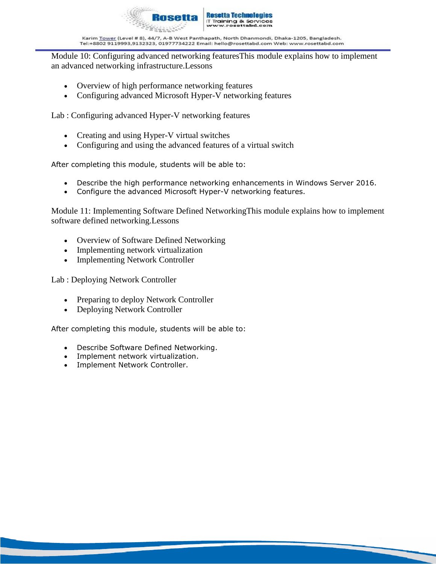

Module 10: Configuring advanced networking featuresThis module explains how to implement an advanced networking infrastructure.Lessons

- Overview of high performance networking features
- Configuring advanced Microsoft Hyper-V networking features

Lab : Configuring advanced Hyper-V networking features

- Creating and using Hyper-V virtual switches
- Configuring and using the advanced features of a virtual switch

After completing this module, students will be able to:

- Describe the high performance networking enhancements in Windows Server 2016.
- Configure the advanced Microsoft Hyper-V networking features.

Module 11: Implementing Software Defined NetworkingThis module explains how to implement software defined networking.Lessons

- Overview of Software Defined Networking
- Implementing network virtualization
- Implementing Network Controller

Lab : Deploying Network Controller

- Preparing to deploy Network Controller
- Deploying Network Controller

After completing this module, students will be able to:

- Describe Software Defined Networking.
- Implement network virtualization.
- Implement Network Controller.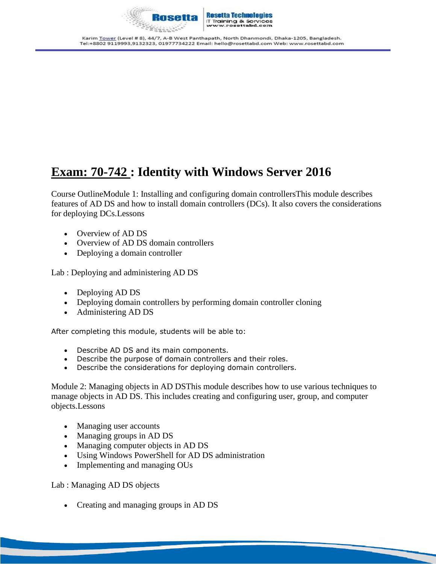

# **Exam: 70-742 : Identity with Windows Server 2016**

Course OutlineModule 1: Installing and configuring domain controllersThis module describes features of AD DS and how to install domain controllers (DCs). It also covers the considerations for deploying DCs.Lessons

- Overview of AD DS
- Overview of AD DS domain controllers
- Deploying a domain controller

Lab : Deploying and administering AD DS

- Deploying AD DS
- Deploying domain controllers by performing domain controller cloning
- Administering AD DS

After completing this module, students will be able to:

- Describe AD DS and its main components.
- Describe the purpose of domain controllers and their roles.
- Describe the considerations for deploying domain controllers.

Module 2: Managing objects in AD DSThis module describes how to use various techniques to manage objects in AD DS. This includes creating and configuring user, group, and computer objects.Lessons

- Managing user accounts
- Managing groups in AD DS
- Managing computer objects in AD DS
- Using Windows PowerShell for AD DS administration
- Implementing and managing OUs

Lab : Managing AD DS objects

• Creating and managing groups in AD DS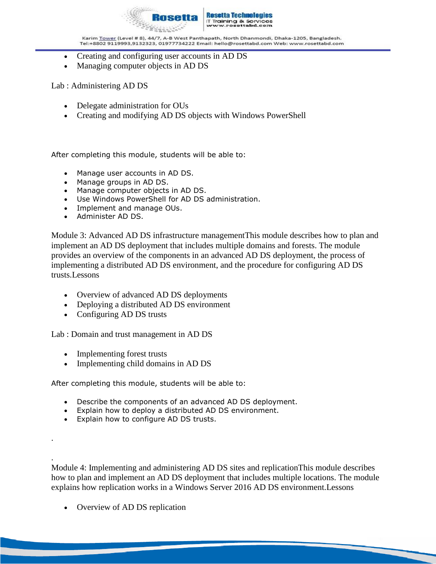

- Creating and configuring user accounts in AD DS
- Managing computer objects in AD DS

Lab : Administering AD DS

- Delegate administration for OUs
- Creating and modifying AD DS objects with Windows PowerShell

After completing this module, students will be able to:

- Manage user accounts in AD DS.
- Manage groups in AD DS.
- Manage computer objects in AD DS.
- Use Windows PowerShell for AD DS administration.
- Implement and manage OUs.
- Administer AD DS.

Module 3: Advanced AD DS infrastructure managementThis module describes how to plan and implement an AD DS deployment that includes multiple domains and forests. The module provides an overview of the components in an advanced AD DS deployment, the process of implementing a distributed AD DS environment, and the procedure for configuring AD DS trusts.Lessons

- Overview of advanced AD DS deployments
- Deploying a distributed AD DS environment
- Configuring AD DS trusts

Lab : Domain and trust management in AD DS

• Implementing forest trusts

.

.

• Implementing child domains in AD DS

After completing this module, students will be able to:

- Describe the components of an advanced AD DS deployment.
- Explain how to deploy a distributed AD DS environment.
- Explain how to configure AD DS trusts.

Module 4: Implementing and administering AD DS sites and replicationThis module describes how to plan and implement an AD DS deployment that includes multiple locations. The module explains how replication works in a Windows Server 2016 AD DS environment.Lessons

• Overview of AD DS replication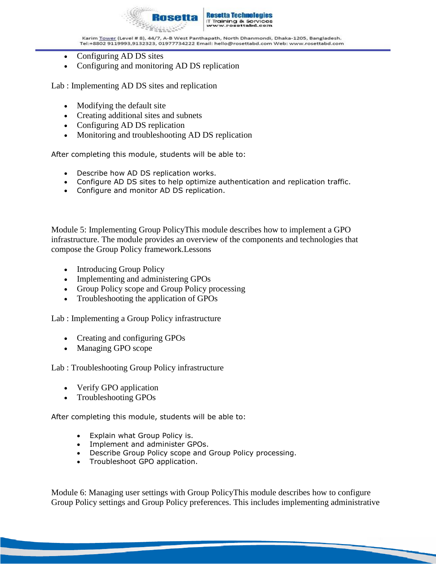

- Configuring AD DS sites
- Configuring and monitoring AD DS replication

Lab : Implementing AD DS sites and replication

- Modifying the default site
- Creating additional sites and subnets
- Configuring AD DS replication
- Monitoring and troubleshooting AD DS replication

After completing this module, students will be able to:

- Describe how AD DS replication works.
- Configure AD DS sites to help optimize authentication and replication traffic.
- Configure and monitor AD DS replication.

Module 5: Implementing Group PolicyThis module describes how to implement a GPO infrastructure. The module provides an overview of the components and technologies that compose the Group Policy framework.Lessons

- Introducing Group Policy
- Implementing and administering GPOs
- Group Policy scope and Group Policy processing
- Troubleshooting the application of GPOs

Lab : Implementing a Group Policy infrastructure

- Creating and configuring GPOs
- Managing GPO scope

Lab : Troubleshooting Group Policy infrastructure

- Verify GPO application
- Troubleshooting GPOs

After completing this module, students will be able to:

- Explain what Group Policy is.
- Implement and administer GPOs.
- Describe Group Policy scope and Group Policy processing.
- Troubleshoot GPO application.

Module 6: Managing user settings with Group PolicyThis module describes how to configure Group Policy settings and Group Policy preferences. This includes implementing administrative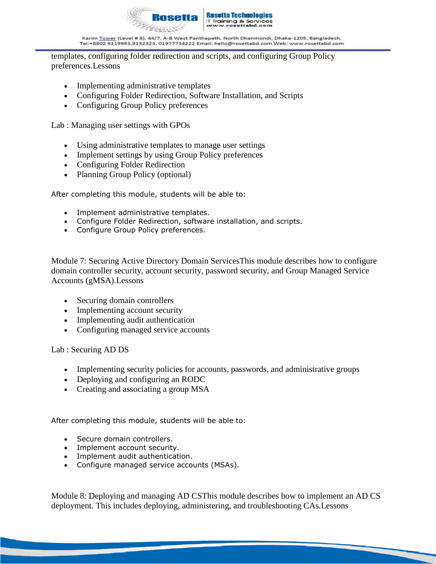

templates, configuring folder redirection and scripts, and configuring Group Policy preferences.Lessons

- Implementing administrative templates
- Configuring Folder Redirection, Software Installation, and Scripts
- Configuring Group Policy preferences

Lab : Managing user settings with GPOs

- Using administrative templates to manage user settings
- Implement settings by using Group Policy preferences
- Configuring Folder Redirection
- Planning Group Policy (optional)

After completing this module, students will be able to:

- Implement administrative templates.
- Configure Folder Redirection, software installation, and scripts.
- Configure Group Policy preferences.

Module 7: Securing Active Directory Domain ServicesThis module describes how to configure domain controller security, account security, password security, and Group Managed Service Accounts (gMSA).Lessons

- Securing domain controllers
- Implementing account security
- Implementing audit authentication
- Configuring managed service accounts

Lab : Securing AD DS

- Implementing security policies for accounts, passwords, and administrative groups
- Deploying and configuring an RODC
- Creating and associating a group MSA

After completing this module, students will be able to:

- Secure domain controllers.
- Implement account security.
- Implement audit authentication.
- Configure managed service accounts (MSAs).

Module 8: Deploying and managing AD CSThis module describes how to implement an AD CS deployment. This includes deploying, administering, and troubleshooting CAs.Lessons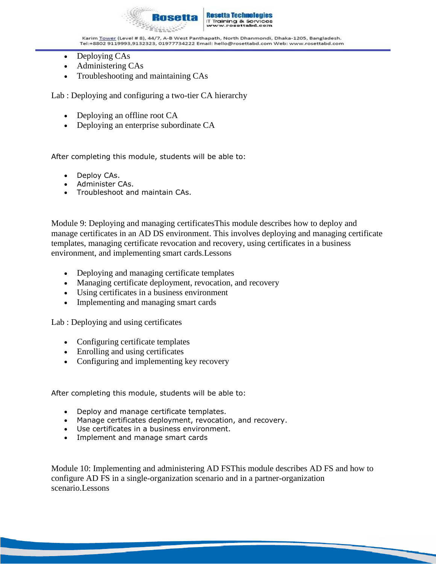

- Deploying CAs
- Administering CAs
- Troubleshooting and maintaining CAs

Lab : Deploying and configuring a two-tier CA hierarchy

- Deploying an offline root CA
- Deploying an enterprise subordinate CA

After completing this module, students will be able to:

- Deploy CAs.
- Administer CAs.
- Troubleshoot and maintain CAs.

Module 9: Deploying and managing certificatesThis module describes how to deploy and manage certificates in an AD DS environment. This involves deploying and managing certificate templates, managing certificate revocation and recovery, using certificates in a business environment, and implementing smart cards.Lessons

- Deploying and managing certificate templates
- Managing certificate deployment, revocation, and recovery
- Using certificates in a business environment
- Implementing and managing smart cards

Lab : Deploying and using certificates

- Configuring certificate templates
- Enrolling and using certificates
- Configuring and implementing key recovery

After completing this module, students will be able to:

- Deploy and manage certificate templates.
- Manage certificates deployment, revocation, and recovery.
- Use certificates in a business environment.
- Implement and manage smart cards

Module 10: Implementing and administering AD FSThis module describes AD FS and how to configure AD FS in a single-organization scenario and in a partner-organization scenario.Lessons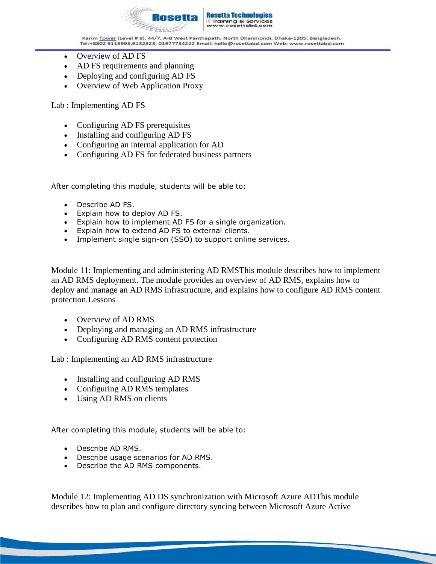

- Overview of AD FS
- AD FS requirements and planning
- Deploying and configuring AD FS
- Overview of Web Application Proxy

Lab : Implementing AD FS

- Configuring AD FS prerequisites
- Installing and configuring AD FS
- Configuring an internal application for AD
- Configuring AD FS for federated business partners

After completing this module, students will be able to:

- Describe AD FS.
- Explain how to deploy AD FS.
- Explain how to implement AD FS for a single organization.
- Explain how to extend AD FS to external clients.
- Implement single sign-on (SSO) to support online services.

Module 11: Implementing and administering AD RMSThis module describes how to implement an AD RMS deployment. The module provides an overview of AD RMS, explains how to deploy and manage an AD RMS infrastructure, and explains how to configure AD RMS content protection.Lessons

- Overview of AD RMS
- Deploying and managing an AD RMS infrastructure
- Configuring AD RMS content protection

Lab : Implementing an AD RMS infrastructure

- Installing and configuring AD RMS
- Configuring AD RMS templates
- Using AD RMS on clients

After completing this module, students will be able to:

- Describe AD RMS.
- Describe usage scenarios for AD RMS.
- Describe the AD RMS components.

Module 12: Implementing AD DS synchronization with Microsoft Azure ADThis module describes how to plan and configure directory syncing between Microsoft Azure Active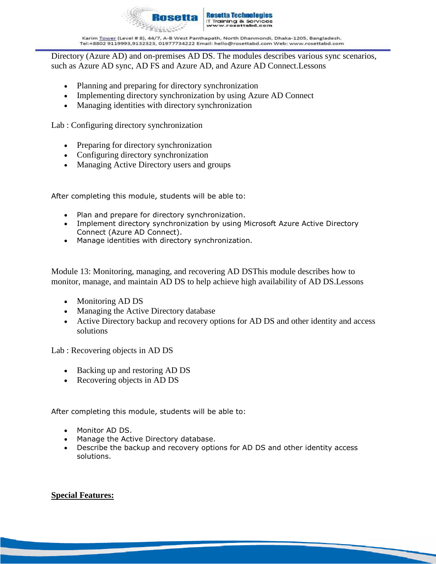

Directory (Azure AD) and on-premises AD DS. The modules describes various sync scenarios, such as Azure AD sync, AD FS and Azure AD, and Azure AD Connect.Lessons

- Planning and preparing for directory synchronization
- Implementing directory synchronization by using Azure AD Connect
- Managing identities with directory synchronization

Lab : Configuring directory synchronization

- Preparing for directory synchronization
- Configuring directory synchronization
- Managing Active Directory users and groups

After completing this module, students will be able to:

- Plan and prepare for directory synchronization.
- Implement directory synchronization by using Microsoft Azure Active Directory Connect (Azure AD Connect).
- Manage identities with directory synchronization.

Module 13: Monitoring, managing, and recovering AD DSThis module describes how to monitor, manage, and maintain AD DS to help achieve high availability of AD DS.Lessons

- Monitoring AD DS
- Managing the Active Directory database
- Active Directory backup and recovery options for AD DS and other identity and access solutions

Lab : Recovering objects in AD DS

- Backing up and restoring AD DS
- Recovering objects in AD DS

After completing this module, students will be able to:

- Monitor AD DS.
- Manage the Active Directory database.
- Describe the backup and recovery options for AD DS and other identity access solutions.

#### **Special Features:**